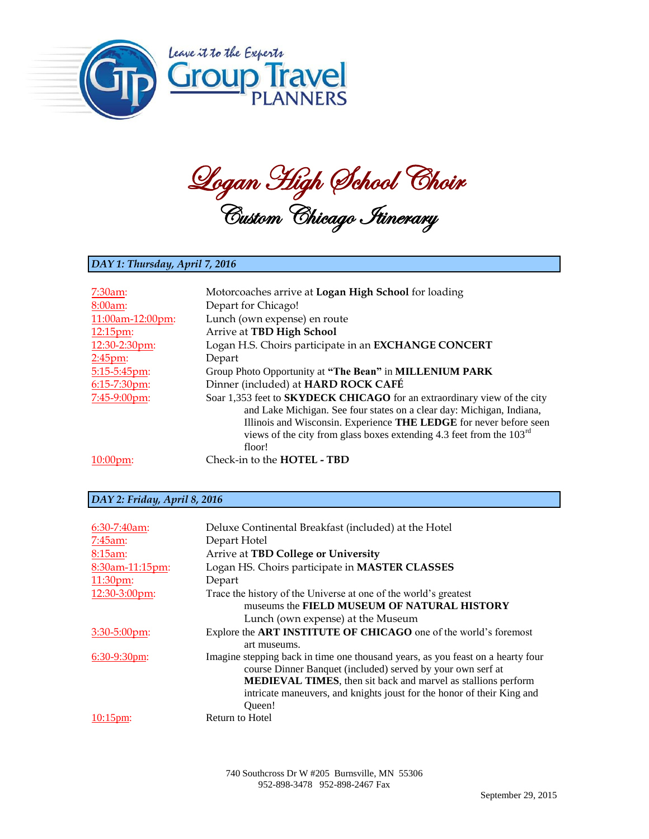

Logan High School Choir Custom Chicago Itinerary

## *DAY 1: Thursday, April 7, 2016*

| $7:30am$ :        | Motorcoaches arrive at Logan High School for loading                                                                                                                                                                                                                                                        |
|-------------------|-------------------------------------------------------------------------------------------------------------------------------------------------------------------------------------------------------------------------------------------------------------------------------------------------------------|
| 8:00am:           | Depart for Chicago!                                                                                                                                                                                                                                                                                         |
| 11:00am-12:00pm:  | Lunch (own expense) en route                                                                                                                                                                                                                                                                                |
| 12:15pm:          | Arrive at TBD High School                                                                                                                                                                                                                                                                                   |
| 12:30-2:30pm:     | Logan H.S. Choirs participate in an EXCHANGE CONCERT                                                                                                                                                                                                                                                        |
| $2:45$ pm:        | Depart                                                                                                                                                                                                                                                                                                      |
| 5:15-5:45pm:      | Group Photo Opportunity at "The Bean" in MILLENIUM PARK                                                                                                                                                                                                                                                     |
| $6:15 - 7:30$ pm: | Dinner (included) at HARD ROCK CAFÉ                                                                                                                                                                                                                                                                         |
| 7:45-9:00pm:      | Soar 1,353 feet to SKYDECK CHICAGO for an extraordinary view of the city<br>and Lake Michigan. See four states on a clear day: Michigan, Indiana,<br>Illinois and Wisconsin. Experience THE LEDGE for never before seen<br>views of the city from glass boxes extending 4.3 feet from the $103rd$<br>floor! |
| $10:00$ $pm:$     | Check-in to the <b>HOTEL</b> - <b>TBD</b>                                                                                                                                                                                                                                                                   |

## *DAY 2: Friday, April 8, 2016*

| $6:30-7:40$ am:   | Deluxe Continental Breakfast (included) at the Hotel                                                                                                                                                                                                                                                        |
|-------------------|-------------------------------------------------------------------------------------------------------------------------------------------------------------------------------------------------------------------------------------------------------------------------------------------------------------|
| 7:45am:           | Depart Hotel                                                                                                                                                                                                                                                                                                |
| 8:15am:           | Arrive at TBD College or University                                                                                                                                                                                                                                                                         |
| 8:30am-11:15pm:   | Logan HS. Choirs participate in MASTER CLASSES                                                                                                                                                                                                                                                              |
| $11:30$ pm:       | Depart                                                                                                                                                                                                                                                                                                      |
| 12:30-3:00pm:     | Trace the history of the Universe at one of the world's greatest<br>museums the FIELD MUSEUM OF NATURAL HISTORY                                                                                                                                                                                             |
|                   | Lunch (own expense) at the Museum                                                                                                                                                                                                                                                                           |
| $3:30-5:00$ pm:   | Explore the ART INSTITUTE OF CHICAGO one of the world's foremost<br>art museums.                                                                                                                                                                                                                            |
| $6:30-9:30$ pm:   | Imagine stepping back in time one thousand years, as you feast on a hearty four<br>course Dinner Banquet (included) served by your own serf at<br><b>MEDIEVAL TIMES</b> , then sit back and marvel as stallions perform<br>intricate maneuvers, and knights joust for the honor of their King and<br>Oueen! |
| $10:15 \text{pm}$ | Return to Hotel                                                                                                                                                                                                                                                                                             |

740 Southcross Dr W #205 Burnsville, MN 55306 952-898-3478 952-898-2467 Fax